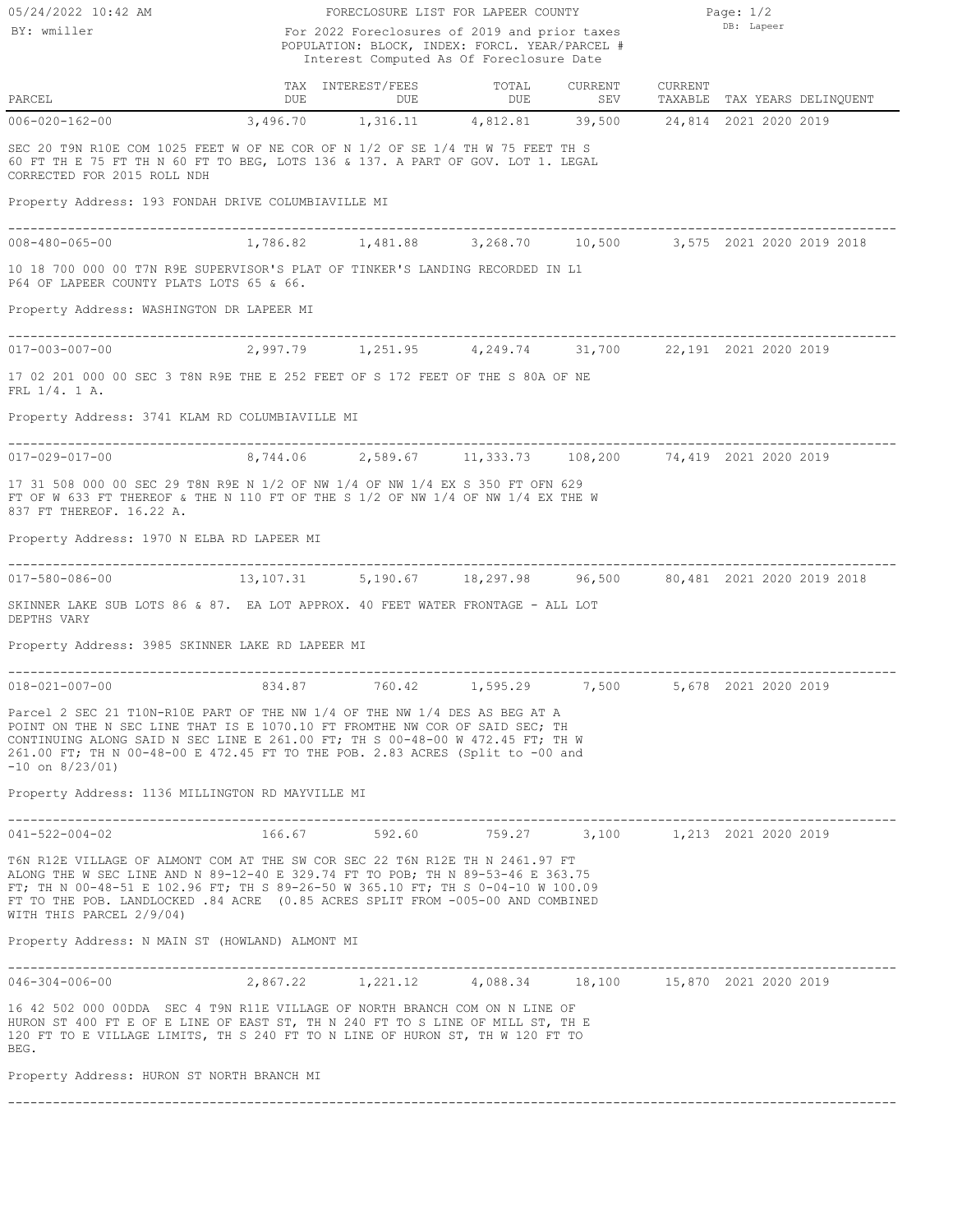BY: wmiller

FRL 1/4. 1 A.

 $\begin{tabular}{lcccccc} \multicolumn{2}{c}{\textbf{TAX}} & \multicolumn{2}{c}{\textbf{INTEREST/FEES}} & \multicolumn{2}{c}{\textbf{TOTAL}} & \multicolumn{2}{c}{\textbf{CURRENT}} & \multicolumn{2}{c}{\textbf{CURRENT}} \\ & \multicolumn{2}{c}{\textbf{DUE}} & \multicolumn{2}{c}{\textbf{DUE}} & \multicolumn{2}{c}{\textbf{CURRENT}} & \multicolumn{2}{c}{\textbf{CURRENT}} & \multicolumn{2}{c}{\textbf{CURRENT}} \\ & \multicolumn{2}{c}{\textbf{DUE}} & \multicolumn{2}{c$ TAX INTEREST/FEES TOTAL CURRENT CURRENT Interest Computed As Of Foreclosure Date POPULATION: BLOCK, INDEX: FORCL. YEAR/PARCEL # FORECLOSURE LIST FOR LAPEER COUNTY 05/24/2022 10:42 AM 1/2 For 2022 Foreclosures of 2019 and prior taxes Page:  $1/2$ DB: Lapeer ----------------------------------------------------------------------------------------------------------------------- Property Address: 193 FONDAH DRIVE COLUMBIAVILLE MI CORRECTED FOR 2015 ROLL NDH 60 FT TH E 75 FT TH N 60 FT TO BEG, LOTS 136 & 137. A PART OF GOV. LOT 1. LEGAL SEC 20 T9N R10E COM 1025 FEET W OF NE COR OF N 1/2 OF SE 1/4 TH W 75 FEET TH S 006-020-162-00 3,496.70 1,316.11 4,812.81 39,500 24,814 2021 2020 2019 ----------------------------------------------------------------------------------------------------------------------- Property Address: WASHINGTON DR LAPEER MI P64 OF LAPEER COUNTY PLATS LOTS 65 & 66. 10 18 700 000 00 T7N R9E SUPERVISOR'S PLAT OF TINKER'S LANDING RECORDED IN L1 008-480-065-00 1,786.82 1,481.88 3,268.70 10,500 3,575 2021 2020 2019 2018 ----------------------------------------------------------------------------------------------------------------------- Property Address: 3741 KLAM RD COLUMBIAVILLE MI 17 02 201 000 00 SEC 3 T8N R9E THE E 252 FEET OF S 172 FEET OF THE S 80A OF NE 017-003-007-00 2,997.79 1,251.95 4,249.74 31,700 22,191 2021 2020 2019 ----------------------------------------------------------------------------------------------------------------------- Property Address: 1970 N ELBA RD LAPEER MI 837 FT THEREOF. 16.22 A. FT OF W 633 FT THEREOF & THE N 110 FT OF THE S 1/2 OF NW 1/4 OF NW 1/4 EX THE W 17 31 508 000 00 SEC 29 T8N R9E N 1/2 OF NW 1/4 OF NW 1/4 EX S 350 FT OFN 629 017-029-017-00 8,744.06 2,589.67 11,333.73 108,200 74,419 2021 2020 2019 80,481 2021 2020 2019 2018

DEPTHS VARY SKINNER LAKE SUB LOTS 86 & 87. EA LOT APPROX. 40 FEET WATER FRONTAGE - ALL LOT

Property Address: 3985 SKINNER LAKE RD LAPEER MI

----------------------------------------------------------------------------------------------------------------------- 5,678 2021 2020 2019

-10 on 8/23/01) 261.00 FT; TH N 00-48-00 E 472.45 FT TO THE POB. 2.83 ACRES (Split to -00 and CONTINUING ALONG SAID N SEC LINE E 261.00 FT; TH S 00-48-00 W 472.45 FT; TH W POINT ON THE N SEC LINE THAT IS E 1070.10 FT FROMTHE NW COR OF SAID SEC; TH Parcel 2 SEC 21 T10N-R10E PART OF THE NW 1/4 OF THE NW 1/4 DES AS BEG AT A

Property Address: 1136 MILLINGTON RD MAYVILLE MI

| 041-522-004-02                                                                                                                                                                                                                                                                                                                                                  | 166.67            | 592.60 | 759.27 | 3,100 |  | 1,213 2021 2020 2019 |  |  |  |
|-----------------------------------------------------------------------------------------------------------------------------------------------------------------------------------------------------------------------------------------------------------------------------------------------------------------------------------------------------------------|-------------------|--------|--------|-------|--|----------------------|--|--|--|
| T6N R12E VILLAGE OF ALMONT COM AT THE SW COR SEC 22 T6N R12E TH N 2461.97 FT<br>ALONG THE W SEC LINE AND N 89-12-40 E 329.74 FT TO POB; TH N 89-53-46 E 363.75<br>FT; TH N 00-48-51 E 102.96 FT; TH S 89-26-50 W 365.10 FT; TH S 0-04-10 W 100.09<br>FT TO THE POB. LANDLOCKED .84 ACRE (0.85 ACRES SPLIT FROM -005-00 AND COMBINED<br>WITH THIS PARCEL 2/9/04) |                   |        |        |       |  |                      |  |  |  |
| Property Address: N MAIN ST (HOWLAND) ALMONT MI                                                                                                                                                                                                                                                                                                                 |                   |        |        |       |  |                      |  |  |  |
| 046-304-006-00                                                                                                                                                                                                                                                                                                                                                  | 2,867.22 1,221.12 |        |        |       |  |                      |  |  |  |

BEG. 120 FT TO E VILLAGE LIMITS, TH S 240 FT TO N LINE OF HURON ST, TH W 120 FT TO HURON ST 400 FT E OF E LINE OF EAST ST, TH N 240 FT TO S LINE OF MILL ST, TH E 16 42 502 000 00DDA SEC 4 T9N R11E VILLAGE OF NORTH BRANCH COM ON N LINE OF

Property Address: HURON ST NORTH BRANCH MI

-----------------------------------------------------------------------------------------------------------------------